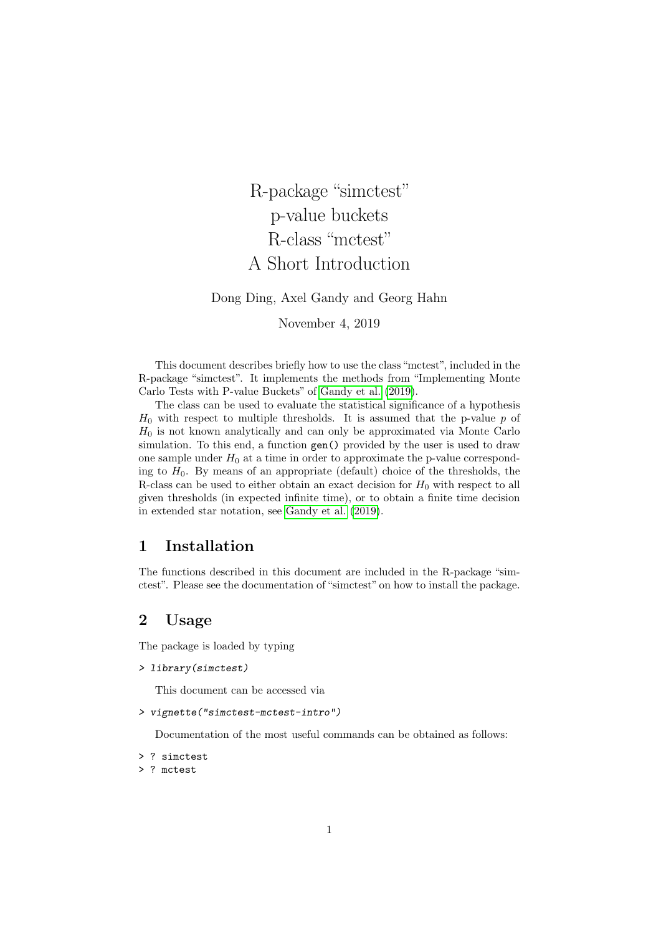R-package "simctest" p-value buckets R-class "mctest" A Short Introduction

Dong Ding, Axel Gandy and Georg Hahn

November 4, 2019

This document describes briefly how to use the class "mctest", included in the R-package "simctest". It implements the methods from "Implementing Monte Carlo Tests with P-value Buckets" of [Gandy et al.](#page-5-0) [\(2019\)](#page-5-0).

The class can be used to evaluate the statistical significance of a hypothesis  $H_0$  with respect to multiple thresholds. It is assumed that the p-value p of  $H_0$  is not known analytically and can only be approximated via Monte Carlo simulation. To this end, a function gen() provided by the user is used to draw one sample under  $H_0$  at a time in order to approximate the p-value corresponding to  $H_0$ . By means of an appropriate (default) choice of the thresholds, the R-class can be used to either obtain an exact decision for  $H_0$  with respect to all given thresholds (in expected infinite time), or to obtain a finite time decision in extended star notation, see [Gandy et al.](#page-5-0) [\(2019\)](#page-5-0).

### 1 Installation

The functions described in this document are included in the R-package "simctest". Please see the documentation of "simctest" on how to install the package.

## 2 Usage

The package is loaded by typing

```
> library(simctest)
```
This document can be accessed via

```
> vignette("simctest-mctest-intro")
```
Documentation of the most useful commands can be obtained as follows:

> ? simctest

```
> ? mctest
```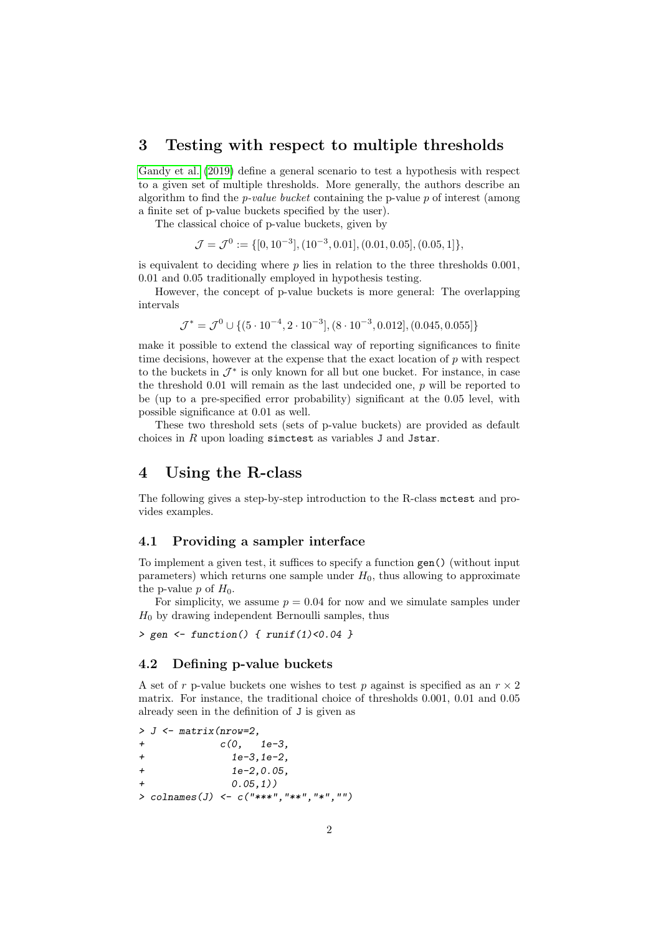## 3 Testing with respect to multiple thresholds

[Gandy et al.](#page-5-0) [\(2019\)](#page-5-0) define a general scenario to test a hypothesis with respect to a given set of multiple thresholds. More generally, the authors describe an algorithm to find the *p-value bucket* containing the p-value  $p$  of interest (among a finite set of p-value buckets specified by the user).

The classical choice of p-value buckets, given by

 $\mathcal{J} = \mathcal{J}^0 := \{ [0, 10^{-3}], (10^{-3}, 0.01], (0.01, 0.05], (0.05, 1] \},$ 

is equivalent to deciding where  $p$  lies in relation to the three thresholds 0.001, 0.01 and 0.05 traditionally employed in hypothesis testing.

However, the concept of p-value buckets is more general: The overlapping intervals

 $\mathcal{J}^* = \mathcal{J}^0 \cup \{(5 \cdot 10^{-4}, 2 \cdot 10^{-3}], (8 \cdot 10^{-3}, 0.012], (0.045, 0.055]\}$ 

make it possible to extend the classical way of reporting significances to finite time decisions, however at the expense that the exact location of  $p$  with respect to the buckets in  $\mathcal{J}^*$  is only known for all but one bucket. For instance, in case the threshold  $0.01$  will remain as the last undecided one, p will be reported to be (up to a pre-specified error probability) significant at the 0.05 level, with possible significance at 0.01 as well.

These two threshold sets (sets of p-value buckets) are provided as default choices in R upon loading simctest as variables J and Jstar.

## 4 Using the R-class

The following gives a step-by-step introduction to the R-class mctest and provides examples.

#### <span id="page-1-0"></span>4.1 Providing a sampler interface

To implement a given test, it suffices to specify a function gen() (without input parameters) which returns one sample under  $H_0$ , thus allowing to approximate the p-value p of  $H_0$ .

For simplicity, we assume  $p = 0.04$  for now and we simulate samples under  $H_0$  by drawing independent Bernoulli samples, thus

 $>$  gen  $\le$  function() { runif(1)<0.04 }

#### <span id="page-1-1"></span>4.2 Defining p-value buckets

A set of r p-value buckets one wishes to test p against is specified as an  $r \times 2$ matrix. For instance, the traditional choice of thresholds 0.001, 0.01 and 0.05 already seen in the definition of J is given as

```
> J <- matrix(nrow=2,
+ c(0, 1e-3,
+ 1e-3,1e-2,
+ 1e-2,0.05,
           0.05,1))
> colnames(J) <- c("***","**","*","")
```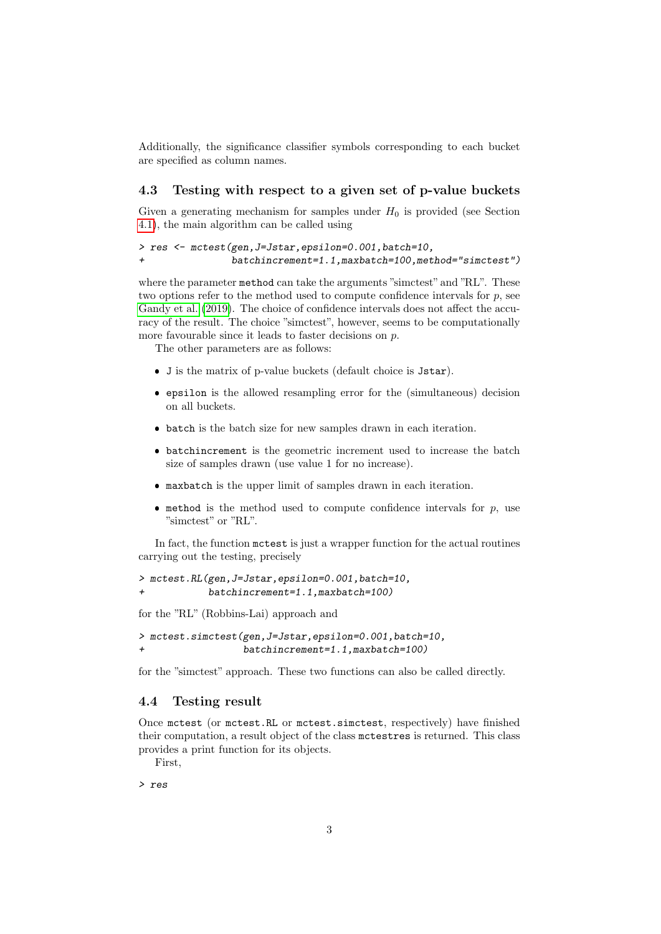Additionally, the significance classifier symbols corresponding to each bucket are specified as column names.

#### 4.3 Testing with respect to a given set of p-value buckets

Given a generating mechanism for samples under  $H_0$  is provided (see Section [4.1\)](#page-1-0), the main algorithm can be called using

```
> res <- mctest(gen,J=Jstar,epsilon=0.001,batch=10,
+ batchincrement=1.1,maxbatch=100,method="simctest")
```
where the parameter method can take the arguments "simctest" and "RL". These two options refer to the method used to compute confidence intervals for  $p$ , see [Gandy et al.](#page-5-0) [\(2019\)](#page-5-0). The choice of confidence intervals does not affect the accuracy of the result. The choice "simctest", however, seems to be computationally more favourable since it leads to faster decisions on  $p$ .

The other parameters are as follows:

- J is the matrix of p-value buckets (default choice is Jstar).
- epsilon is the allowed resampling error for the (simultaneous) decision on all buckets.
- batch is the batch size for new samples drawn in each iteration.
- batchincrement is the geometric increment used to increase the batch size of samples drawn (use value 1 for no increase).
- maxbatch is the upper limit of samples drawn in each iteration.
- $\bullet$  method is the method used to compute confidence intervals for  $p$ , use "simctest" or "RL".

In fact, the function mctest is just a wrapper function for the actual routines carrying out the testing, precisely

> mctest.RL(gen,J=Jstar,epsilon=0.001,batch=10, + batchincrement=1.1,maxbatch=100)

for the "RL" (Robbins-Lai) approach and

> mctest.simctest(gen,J=Jstar,epsilon=0.001,batch=10, + batchincrement=1.1,maxbatch=100)

for the "simctest" approach. These two functions can also be called directly.

#### 4.4 Testing result

Once mctest (or mctest.RL or mctest.simctest, respectively) have finished their computation, a result object of the class mctestres is returned. This class provides a print function for its objects.

First,

> res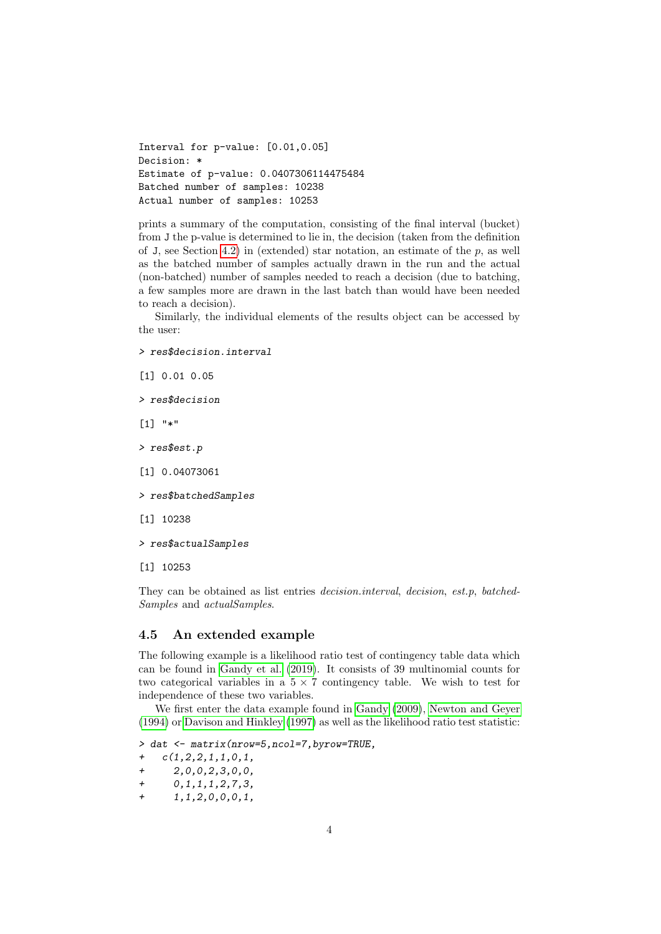```
Interval for p-value: [0.01,0.05]
Decision: *
Estimate of p-value: 0.0407306114475484
Batched number of samples: 10238
Actual number of samples: 10253
```
prints a summary of the computation, consisting of the final interval (bucket) from J the p-value is determined to lie in, the decision (taken from the definition of J, see Section [4.2\)](#page-1-1) in (extended) star notation, an estimate of the  $p$ , as well as the batched number of samples actually drawn in the run and the actual (non-batched) number of samples needed to reach a decision (due to batching, a few samples more are drawn in the last batch than would have been needed to reach a decision).

Similarly, the individual elements of the results object can be accessed by the user:

> res\$decision.interval

[1] 0.01 0.05

> res\$decision

[1] "\*"

- > res\$est.p
- [1] 0.04073061
- > res\$batchedSamples
- [1] 10238
- > res\$actualSamples
- [1] 10253

They can be obtained as list entries decision.interval, decision, est.p, batched-Samples and actualSamples.

#### 4.5 An extended example

The following example is a likelihood ratio test of contingency table data which can be found in [Gandy et al.](#page-5-0) [\(2019\)](#page-5-0). It consists of 39 multinomial counts for two categorical variables in a  $5 \times 7$  contingency table. We wish to test for independence of these two variables.

We first enter the data example found in [Gandy](#page-5-1) [\(2009\)](#page-5-1), [Newton and Geyer](#page-5-2) [\(1994\)](#page-5-2) or [Davison and Hinkley](#page-5-3) [\(1997\)](#page-5-3) as well as the likelihood ratio test statistic:

> dat <- matrix(nrow=5,ncol=7,byrow=TRUE,

- + c(1,2,2,1,1,0,1,
- + 2,0,0,2,3,0,0,
- $+$  0, 1, 1, 1, 2, 7, 3,
- $+$  1,1,2,0,0,0,1,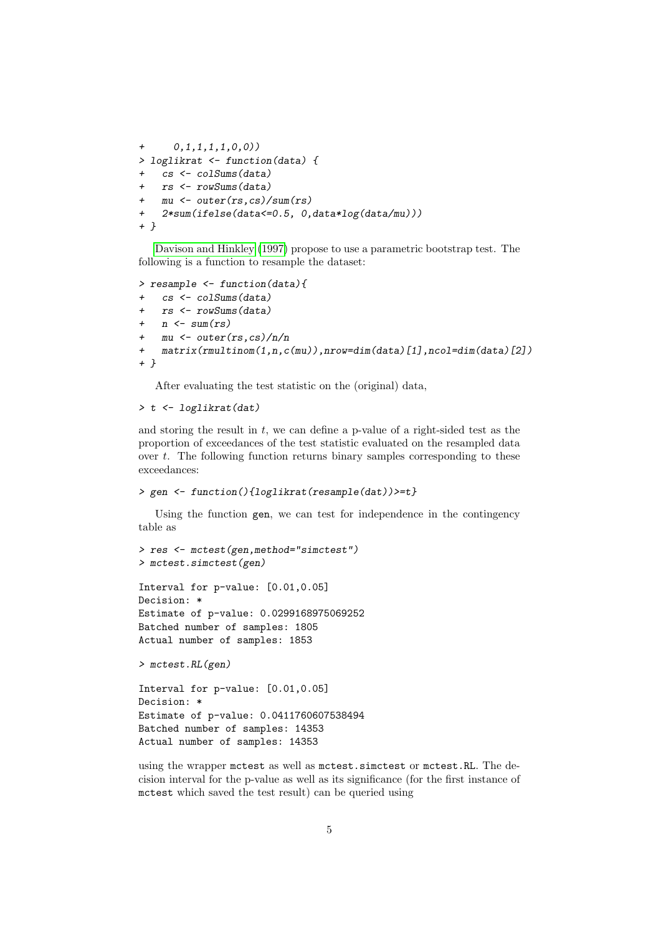```
+ 0,1,1,1,1,0,0))
> loglikrat <- function(data) {
+ cs <- colSums(data)
   rs <- rowSums(data)
+ mu <- outer(rs,cs)/sum(rs)
+ 2*sum(ifelse(data<=0.5, 0,data*log(data/mu)))
+ }
```
[Davison and Hinkley](#page-5-3) [\(1997\)](#page-5-3) propose to use a parametric bootstrap test. The following is a function to resample the dataset:

```
> resample <- function(data){
   cs <- colSums(data)
+ rs <- rowSums(data)
   n \leftarrow \text{sum}(rs)+ mu <- outer(rs,cs)/n/n
+ matrix(rmultinom(1,n,c(mu)),nrow=dim(data)[1],ncol=dim(data)[2])
+ }
```
After evaluating the test statistic on the (original) data,

```
> t <- loglikrat(dat)
```
and storing the result in  $t$ , we can define a p-value of a right-sided test as the proportion of exceedances of the test statistic evaluated on the resampled data over  $t$ . The following function returns binary samples corresponding to these exceedances:

```
> gen <- function(){loglikrat(resample(dat))>=t}
```
Using the function gen, we can test for independence in the contingency table as

```
> res <- mctest(gen,method="simctest")
> mctest.simctest(gen)
Interval for p-value: [0.01,0.05]
Decision: *
Estimate of p-value: 0.0299168975069252
Batched number of samples: 1805
Actual number of samples: 1853
> mctest.RL(gen)
```

```
Interval for p-value: [0.01,0.05]
Decision: *
Estimate of p-value: 0.0411760607538494
Batched number of samples: 14353
Actual number of samples: 14353
```
using the wrapper mctest as well as mctest.simctest or mctest.RL. The decision interval for the p-value as well as its significance (for the first instance of mctest which saved the test result) can be queried using